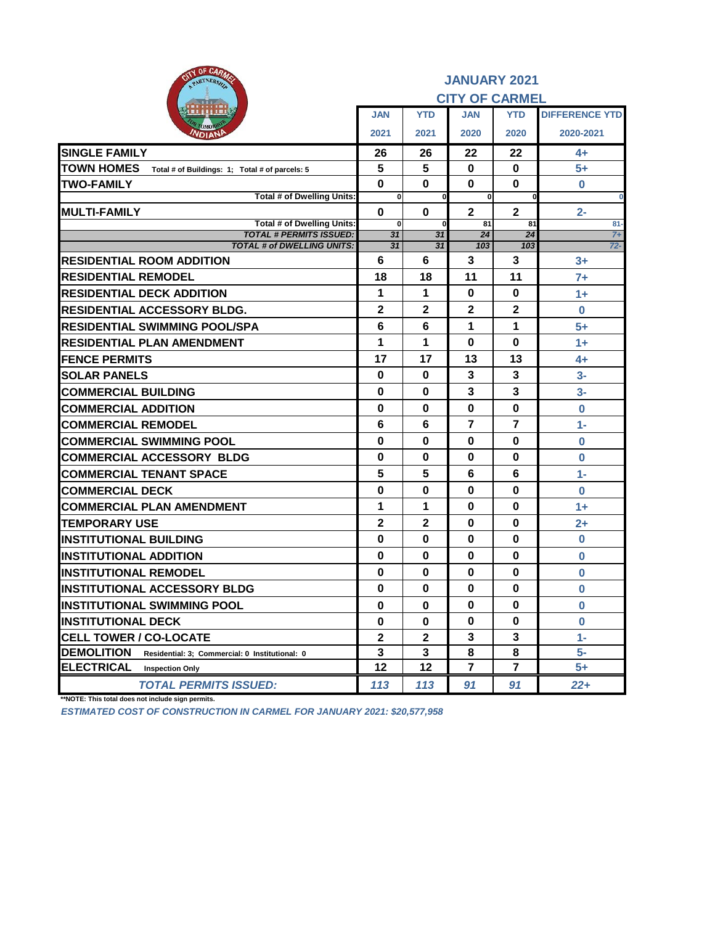| OF CARM<br>PARTNERSHI                                               |                             |                  | <b>JANUARY 2021</b><br><b>CITY OF CARMEL</b> |                      |                       |
|---------------------------------------------------------------------|-----------------------------|------------------|----------------------------------------------|----------------------|-----------------------|
|                                                                     | <b>JAN</b>                  | <b>YTD</b>       | <b>JAN</b>                                   | <b>YTD</b>           | <b>DIFFERENCE YTD</b> |
| <b>NDIANI</b>                                                       | 2021                        | 2021             | 2020                                         | 2020                 | 2020-2021             |
| <b>SINGLE FAMILY</b>                                                | 26                          | 26               | 22                                           | 22                   | $4+$                  |
| <b>TOWN HOMES</b><br>Total # of Buildings: 1; Total # of parcels: 5 | 5                           | 5                | $\mathbf 0$                                  | $\mathbf 0$          | $5+$                  |
| <b>TWO-FAMILY</b>                                                   | $\bf{0}$                    | $\mathbf 0$      | $\bf{0}$                                     | $\mathbf 0$          | $\bf{0}$              |
| <b>Total # of Dwelling Units:</b>                                   | $\mathbf{0}$                | 0                | $\mathbf{0}$                                 | $\Omega$             | $\bf{0}$              |
| <b>IMULTI-FAMILY</b><br><b>Total # of Dwelling Units:</b>           | $\mathbf 0$<br>$\mathbf{0}$ | $\mathbf 0$<br>0 | $\overline{2}$<br>81                         | $\overline{2}$<br>81 | $2 -$<br>$81-$        |
| <b>TOTAL # PERMITS ISSUED:</b>                                      | $\overline{31}$             | $\overline{31}$  | $\overline{24}$                              | $\overline{24}$      | $7+$                  |
| <b>TOTAL # of DWELLING UNITS:</b>                                   | 31                          | $\overline{31}$  | 103                                          | 103                  | $72 -$                |
| <b>RESIDENTIAL ROOM ADDITION</b>                                    | $6\phantom{1}6$             | 6                | 3                                            | 3                    | $3+$                  |
| <b>RESIDENTIAL REMODEL</b>                                          | 18                          | 18               | 11                                           | 11                   | $7+$                  |
| <b>RESIDENTIAL DECK ADDITION</b>                                    | 1                           | 1                | $\mathbf 0$                                  | $\mathbf 0$          | $1+$                  |
| <b>RESIDENTIAL ACCESSORY BLDG.</b>                                  | $\mathbf 2$                 | $\mathbf 2$      | $\mathbf 2$                                  | $\mathbf 2$          | $\bf{0}$              |
| <b>RESIDENTIAL SWIMMING POOL/SPA</b>                                | 6                           | 6                | 1                                            | 1                    | $5+$                  |
| <b>RESIDENTIAL PLAN AMENDMENT</b>                                   | 1                           | 1                | $\mathbf 0$                                  | $\mathbf 0$          | $1+$                  |
| <b>FENCE PERMITS</b>                                                | 17                          | 17               | 13                                           | 13                   | $4+$                  |
| <b>SOLAR PANELS</b>                                                 | $\bf{0}$                    | $\mathbf 0$      | $\overline{3}$                               | $\mathbf{3}$         | $3-$                  |
| <b>COMMERCIAL BUILDING</b>                                          | 0                           | $\bf{0}$         | 3                                            | 3                    | $3-$                  |
| <b>COMMERCIAL ADDITION</b>                                          | 0                           | $\bf{0}$         | $\bf{0}$                                     | $\mathbf 0$          | $\bf{0}$              |
| <b>COMMERCIAL REMODEL</b>                                           | 6                           | 6                | 7                                            | $\overline{7}$       | $1 -$                 |
| <b>COMMERCIAL SWIMMING POOL</b>                                     | $\bf{0}$                    | $\bf{0}$         | $\mathbf 0$                                  | $\mathbf 0$          | $\bf{0}$              |
| <b>COMMERCIAL ACCESSORY BLDG</b>                                    | 0                           | $\bf{0}$         | $\mathbf 0$                                  | $\mathbf 0$          | $\bf{0}$              |
| <b>COMMERCIAL TENANT SPACE</b>                                      | 5                           | 5                | 6                                            | 6                    | $1 -$                 |
| <b>COMMERCIAL DECK</b>                                              | $\bf{0}$                    | $\bf{0}$         | $\mathbf 0$                                  | $\mathbf 0$          | $\bf{0}$              |
| <b>COMMERCIAL PLAN AMENDMENT</b>                                    | 1                           | 1                | $\bf{0}$                                     | $\bf{0}$             | $1+$                  |
| <b>TEMPORARY USE</b>                                                | $\mathbf{2}$                | $\mathbf{2}$     | $\bf{0}$                                     | $\bf{0}$             | $2+$                  |
| <b>INSTITUTIONAL BUILDING</b>                                       | $\mathbf 0$                 | $\mathbf 0$      | $\bf{0}$                                     | $\mathbf 0$          | $\bf{0}$              |
| <b>INSTITUTIONAL ADDITION</b>                                       | $\mathbf 0$                 | $\mathbf 0$      | $\mathbf 0$                                  | $\mathbf 0$          | $\bf{0}$              |
| <b>IINSTITUTIONAL REMODEL</b>                                       | 0                           | $\mathbf 0$      | $\mathbf 0$                                  | $\mathbf 0$          | $\bf{0}$              |
| <b>INSTITUTIONAL ACCESSORY BLDG</b>                                 | $\mathbf 0$                 | $\mathbf 0$      | $\mathbf 0$                                  | $\mathbf 0$          | $\bf{0}$              |
| <b>IINSTITUTIONAL SWIMMING POOL</b>                                 | 0                           | $\bf{0}$         | $\mathbf 0$                                  | $\mathbf 0$          | $\bf{0}$              |
| <b>INSTITUTIONAL DECK</b>                                           | 0                           | $\mathbf 0$      | $\bf{0}$                                     | $\mathbf 0$          | $\bf{0}$              |
| <b>CELL TOWER / CO-LOCATE</b>                                       | $\mathbf{2}$                | $\boldsymbol{2}$ | 3                                            | $\mathbf{3}$         | $1 -$                 |
| <b>DEMOLITION</b><br>Residential: 3; Commercial: 0 Institutional: 0 | $\mathbf{3}$                | $\mathbf{3}$     | 8                                            | 8                    | $5-$                  |
| <b>ELECTRICAL</b><br><b>Inspection Only</b>                         | 12                          | 12               | 7                                            | $\overline{7}$       | $5+$                  |
| <b>TOTAL PERMITS ISSUED:</b>                                        | 113                         | 113              | 91                                           | 91                   | $22 +$                |

**\*\*NOTE: This total does not include sign permits.**

*ESTIMATED COST OF CONSTRUCTION IN CARMEL FOR JANUARY 2021: \$20,577,958*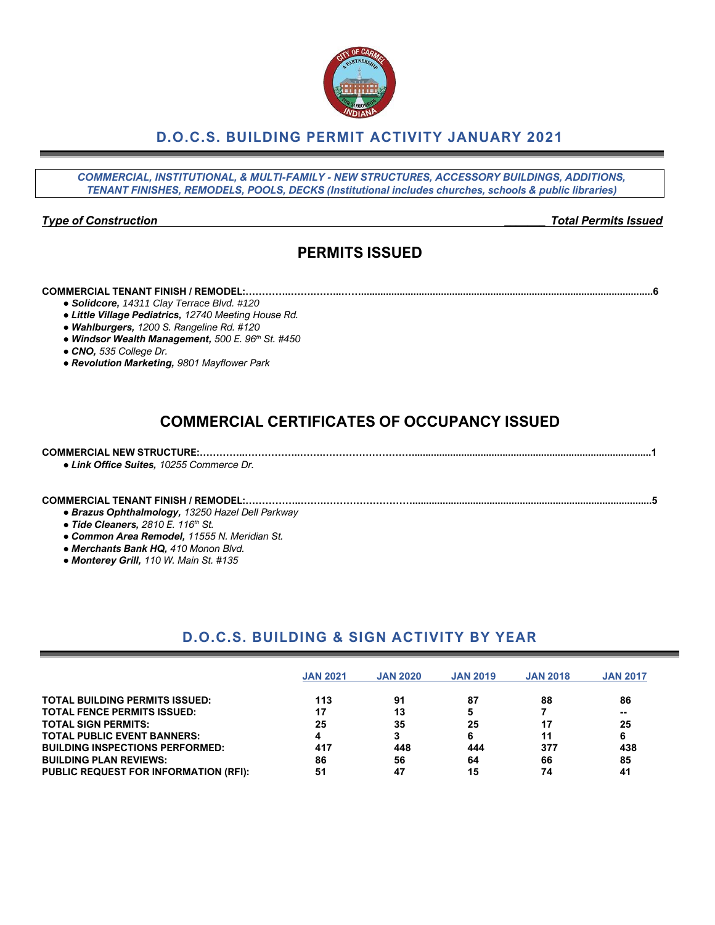### **D.O.C.S. BUILDING PERMIT ACTIVITY JANUARY 2021**

*COMMERCIAL, INSTITUTIONAL, & MULTI-FAMILY - NEW STRUCTURES, ACCESSORY BUILDINGS, ADDITIONS, TENANT FINISHES, REMODELS, POOLS, DECKS (Institutional includes churches, schools & public libraries)*

#### *Type of Construction \_\_\_\_\_\_\_ Total Permits Issued*

## **PERMITS ISSUED**

#### **COMMERCIAL TENANT FINISH / REMODEL:…………..…….……...……..........................................................................................................6**

- *● Solidcore, 14311 Clay Terrace Blvd. #120*
- *● Little Village Pediatrics, 12740 Meeting House Rd.*
- *● Wahlburgers, 1200 S. Rangeline Rd. #120*
- *● Windsor Wealth Management, 500 E. 96th St. #450*
- *● CNO, 535 College Dr.*
- *● Revolution Marketing, 9801 Mayflower Park*

## **COMMERCIAL CERTIFICATES OF OCCUPANCY ISSUED**

#### **COMMERCIAL NEW STRUCTURE:…………..……………..…….……………………….......................................................................................1** *● Link Office Suites, 10255 Commerce Dr.*

### **COMMERCIAL TENANT FINISH / REMODEL:……………..…….……………………….......................................................................................5**

*● Brazus Ophthalmology, 13250 Hazel Dell Parkway*

- *● Tide Cleaners, 2810 E. 116th St.*
- *● Common Area Remodel, 11555 N. Meridian St.*
- *● Merchants Bank HQ, 410 Monon Blvd.*
- *● Monterey Grill, 110 W. Main St. #135*

### **D.O.C.S. BUILDING & SIGN ACTIVITY BY YEAR**

|                                              | <b>JAN 2021</b> | <b>JAN 2020</b> | <b>JAN 2019</b> | <b>JAN 2018</b> | <b>JAN 2017</b> |
|----------------------------------------------|-----------------|-----------------|-----------------|-----------------|-----------------|
| <b>TOTAL BUILDING PERMITS ISSUED:</b>        | 113             | 91              | 87              | 88              | 86              |
| <b>TOTAL FENCE PERMITS ISSUED:</b>           |                 | 13              | 5               |                 | --              |
| <b>TOTAL SIGN PERMITS:</b>                   | 25              | 35              | 25              | 17              | 25              |
| <b>TOTAL PUBLIC EVENT BANNERS:</b>           |                 |                 | 6               | 11              | 6               |
| <b>BUILDING INSPECTIONS PERFORMED:</b>       | 417             | 448             | 444             | 377             | 438             |
| <b>BUILDING PLAN REVIEWS:</b>                | 86              | 56              | 64              | 66              | 85              |
| <b>PUBLIC REQUEST FOR INFORMATION (RFI):</b> | 51              | 47              | 15              | 74              | 41              |

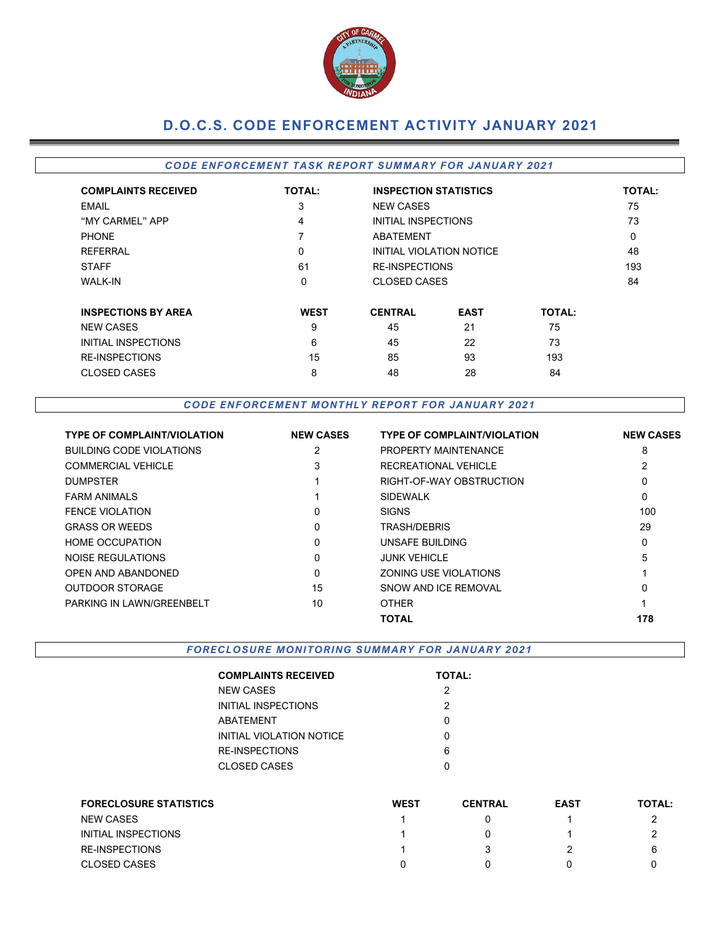

# **D.O.C.S. CODE ENFORCEMENT ACTIVITY JANUARY 2021**

### *CODE ENFORCEMENT TASK REPORT SUMMARY FOR JANUARY 2021*

| <b>COMPLAINTS RECEIVED</b> | <b>TOTAL:</b> |                          | <b>INSPECTION STATISTICS</b> |               |  |  |  |  |
|----------------------------|---------------|--------------------------|------------------------------|---------------|--|--|--|--|
| EMAIL                      | 3             | <b>NEW CASES</b>         |                              |               |  |  |  |  |
| "MY CARMEL" APP            | 4             | INITIAL INSPECTIONS      | 73                           |               |  |  |  |  |
| <b>PHONE</b>               |               | ABATEMENT                |                              |               |  |  |  |  |
| <b>REFERRAL</b>            | 0             | INITIAL VIOLATION NOTICE | 48                           |               |  |  |  |  |
| <b>STAFF</b>               | 61            |                          | <b>RE-INSPECTIONS</b>        |               |  |  |  |  |
| <b>WALK-IN</b>             | 0             |                          | CLOSED CASES                 |               |  |  |  |  |
| <b>INSPECTIONS BY AREA</b> | <b>WEST</b>   | <b>CENTRAL</b>           | <b>EAST</b>                  | <b>TOTAL:</b> |  |  |  |  |
| <b>NEW CASES</b>           | 9             | 45                       | 21                           | 75            |  |  |  |  |
| INITIAL INSPECTIONS        | 6             | 45                       | 22                           | 73            |  |  |  |  |
| <b>RE-INSPECTIONS</b>      | 15            | 85                       | 93                           | 193           |  |  |  |  |
| <b>CLOSED CASES</b>        | 8             | 48                       | 28<br>84                     |               |  |  |  |  |

*CODE ENFORCEMENT MONTHLY REPORT FOR JANUARY 2021*

| <b>TYPE OF COMPLAINT/VIOLATION</b> | <b>NEW CASES</b> | <b>TYPE OF COMPLAINT/VIOLATION</b> | <b>NEW CASES</b> |
|------------------------------------|------------------|------------------------------------|------------------|
| <b>BUILDING CODE VIOLATIONS</b>    | 2                | PROPERTY MAINTENANCE               | 8                |
| <b>COMMERCIAL VEHICLE</b>          | 3                | RECREATIONAL VEHICLE               |                  |
| <b>DUMPSTER</b>                    |                  | RIGHT-OF-WAY OBSTRUCTION           | 0                |
| <b>FARM ANIMALS</b>                |                  | <b>SIDEWALK</b>                    | 0                |
| <b>FENCE VIOLATION</b>             | $\Omega$         | <b>SIGNS</b>                       | 100              |
| <b>GRASS OR WEEDS</b>              | $\Omega$         | TRASH/DEBRIS                       | 29               |
| <b>HOME OCCUPATION</b>             | 0                | UNSAFE BUILDING                    | 0                |
| NOISE REGULATIONS                  | $\Omega$         | <b>JUNK VEHICLE</b>                | 5                |
| <b>OPEN AND ABANDONED</b>          | $\Omega$         | ZONING USE VIOLATIONS              |                  |
| <b>OUTDOOR STORAGE</b>             | 15               | SNOW AND ICF REMOVAL               | 0                |
| PARKING IN LAWN/GREENBELT          | 10               | <b>OTHER</b>                       |                  |
|                                    |                  | <b>TOTAL</b>                       | 178              |

*FORECLOSURE MONITORING SUMMARY FOR JANUARY 2021*

| <b>COMPLAINTS RECEIVED</b> | <b>TOTAL:</b> |
|----------------------------|---------------|
| NEW CASES                  | 2             |
| INITIAL INSPECTIONS        | 2             |
| ABATEMENT                  | O             |
| INITIAL VIOLATION NOTICE   | ი             |
| RE-INSPECTIONS             | 6             |
| CLOSED CASES               | n             |
|                            |               |

| <b>FORECLOSURE STATISTICS</b> | <b>WEST</b> | <b>CENTRAL</b> | <b>EAST</b> | <b>TOTAL:</b> |
|-------------------------------|-------------|----------------|-------------|---------------|
| <b>NEW CASES</b>              |             |                |             |               |
| INITIAL INSPECTIONS           |             |                |             |               |
| <b>RE-INSPECTIONS</b>         |             |                |             | 6             |
| <b>CLOSED CASES</b>           |             |                |             |               |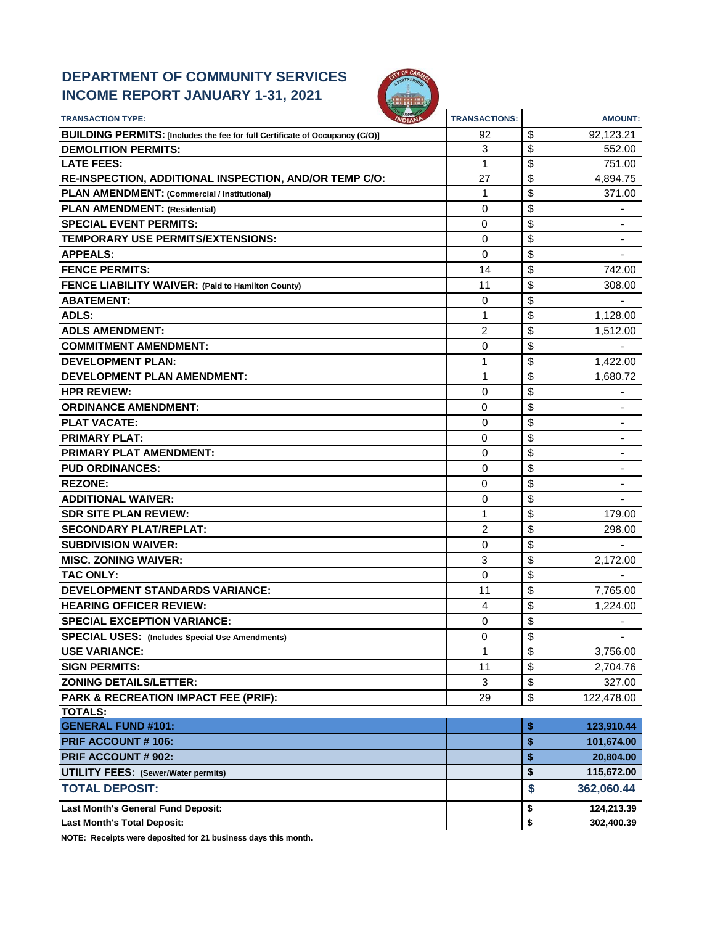## **DEPARTMENT OF COMMUNITY SERVICES INCOME REPORT JANUARY 1-31, 2021**



| <b>TRANSACTION TYPE:</b>                                                     | <b>TRANSACTIONS:</b> | <b>AMOUNT:</b>                 |
|------------------------------------------------------------------------------|----------------------|--------------------------------|
| BUILDING PERMITS: [Includes the fee for full Certificate of Occupancy (C/O)] | 92                   | \$<br>92,123.21                |
| <b>DEMOLITION PERMITS:</b>                                                   | 3                    | \$<br>552.00                   |
| <b>LATE FEES:</b>                                                            | 1                    | \$<br>751.00                   |
| RE-INSPECTION, ADDITIONAL INSPECTION, AND/OR TEMP C/O:                       | 27                   | \$<br>4,894.75                 |
| PLAN AMENDMENT: (Commercial / Institutional)                                 | 1                    | \$<br>371.00                   |
| <b>PLAN AMENDMENT: (Residential)</b>                                         | 0                    | \$                             |
| <b>SPECIAL EVENT PERMITS:</b>                                                | 0                    | \$                             |
| TEMPORARY USE PERMITS/EXTENSIONS:                                            | 0                    | \$                             |
| <b>APPEALS:</b>                                                              | $\Omega$             | \$                             |
| <b>FENCE PERMITS:</b>                                                        | 14                   | \$<br>742.00                   |
| FENCE LIABILITY WAIVER: (Paid to Hamilton County)                            | 11                   | \$<br>308.00                   |
| <b>ABATEMENT:</b>                                                            | 0                    | \$                             |
| <b>ADLS:</b>                                                                 | 1                    | \$<br>1,128.00                 |
| <b>ADLS AMENDMENT:</b>                                                       | 2                    | \$<br>1,512.00                 |
| <b>COMMITMENT AMENDMENT:</b>                                                 | 0                    | \$                             |
| <b>DEVELOPMENT PLAN:</b>                                                     | 1                    | \$<br>1,422.00                 |
| <b>DEVELOPMENT PLAN AMENDMENT:</b>                                           | 1                    | \$<br>1,680.72                 |
| <b>HPR REVIEW:</b>                                                           | 0                    | \$                             |
| <b>ORDINANCE AMENDMENT:</b>                                                  | 0                    | \$                             |
| <b>PLAT VACATE:</b>                                                          | 0                    | \$                             |
| <b>PRIMARY PLAT:</b>                                                         | 0                    | \$                             |
| <b>PRIMARY PLAT AMENDMENT:</b>                                               | 0                    | \$<br>٠                        |
| <b>PUD ORDINANCES:</b>                                                       | 0                    | \$                             |
| <b>REZONE:</b>                                                               | 0                    | \$                             |
| <b>ADDITIONAL WAIVER:</b>                                                    | 0                    | \$                             |
| <b>SDR SITE PLAN REVIEW:</b>                                                 | 1                    | \$<br>179.00                   |
| <b>SECONDARY PLAT/REPLAT:</b>                                                | $\overline{2}$       | \$<br>298.00                   |
| <b>SUBDIVISION WAIVER:</b>                                                   | 0                    | \$                             |
| <b>MISC. ZONING WAIVER:</b>                                                  | 3                    | \$<br>2,172.00                 |
| <b>TAC ONLY:</b>                                                             | 0                    | \$                             |
| <b>DEVELOPMENT STANDARDS VARIANCE:</b>                                       | 11                   | \$<br>7,765.00                 |
| <b>HEARING OFFICER REVIEW:</b>                                               | 4                    | \$<br>1,224.00                 |
| <b>SPECIAL EXCEPTION VARIANCE:</b>                                           | 0                    | \$<br>$\overline{\phantom{a}}$ |
| <b>SPECIAL USES:</b> (Includes Special Use Amendments)                       | 0                    | \$                             |
| <b>USE VARIANCE:</b>                                                         | $\mathbf{1}$         | \$<br>3,756.00                 |
| <b>SIGN PERMITS:</b>                                                         | 11                   | \$<br>2,704.76                 |
| <b>ZONING DETAILS/LETTER:</b>                                                | 3                    | \$<br>327.00                   |
| <b>PARK &amp; RECREATION IMPACT FEE (PRIF):</b>                              | 29                   | \$<br>122,478.00               |
| <b>TOTALS:</b>                                                               |                      |                                |
| <b>GENERAL FUND #101:</b>                                                    |                      | \$<br>123,910.44               |
| <b>PRIF ACCOUNT #106:</b>                                                    |                      | \$<br>101,674.00               |
| <b>PRIF ACCOUNT # 902:</b>                                                   |                      | \$<br>20,804.00                |
| <b>UTILITY FEES: (Sewer/Water permits)</b>                                   |                      | \$<br>115,672.00               |
| <b>TOTAL DEPOSIT:</b>                                                        |                      | \$<br>362,060.44               |
| Last Month's General Fund Deposit:                                           |                      | 124,213.39<br>\$               |
| <b>Last Month's Total Deposit:</b>                                           |                      | \$<br>302,400.39               |

**NOTE: Receipts were deposited for 21 business days this month.**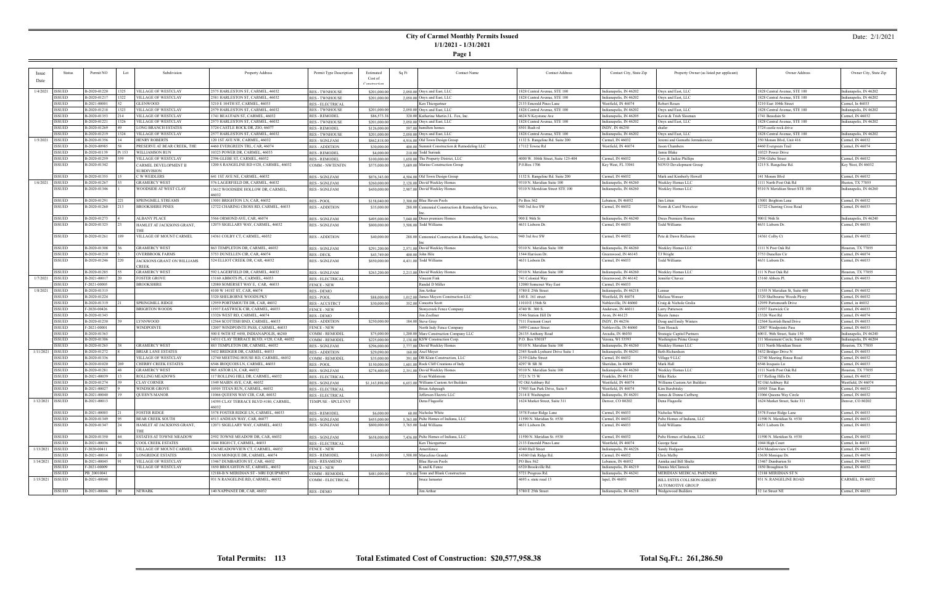### **City of Carmel Monthly Permits Issued 1/1/2021 - 1/31/2021**

**Page 1**

#### Date: 2/1/2021

|                    | <b>Status</b> | Permit NO    | Lot    | Subdivision                    | Property Address                          | Permit Type Description | Estimated      | Sq Ft<br><b>Contact Name</b>                           | <b>Contact Address</b>              | Contact City, State Zip | Property Owner (as listed per applicant) | Owner Address                   | Owner City, State Zip    |
|--------------------|---------------|--------------|--------|--------------------------------|-------------------------------------------|-------------------------|----------------|--------------------------------------------------------|-------------------------------------|-------------------------|------------------------------------------|---------------------------------|--------------------------|
|                    |               |              |        |                                |                                           |                         | Cost of        |                                                        |                                     |                         |                                          |                                 |                          |
| Date               |               |              |        |                                |                                           |                         | Construction   |                                                        |                                     |                         |                                          |                                 |                          |
|                    |               |              |        |                                |                                           |                         |                |                                                        |                                     |                         |                                          |                                 |                          |
| 1/4/2021           | <b>ISSUED</b> | B-2020-01220 | 1325   | <b>VILLAGE OF WESTCLAY</b>     | 2575 HARLESTON ST, CARMEL, 46032          | <b>RES - TWNHOUSE</b>   | \$201,000.00   | $2,050,00$ Onyx and East, LLC                          | 1828 Central Avenue, STE 100        | Indianapolis, IN 46202  | Onyx and East, LLC                       | 1828 Central Avenue, STE 100    | Indianapolis, IN 46202   |
|                    | ISSUED        | B-2020-01217 | 1322   | <b>VILLAGE OF WESTCLAY</b>     | 2581 HARLESTON ST, CARMEL, 46032          | <b>RES - TWNHOUSE</b>   | \$201,000.00   | 2,050,00 Onyx and East, LLC                            | 1828 Central Avenue, STE 100        | Indianapolis, IN 46202  | Onyx and East, LLC                       | 1828 Central Avenue, STE 100    | Indianapolis, IN 46202   |
|                    | ISSUED        | B-2021-00001 |        | <b>GLENWOOD</b>                | 3210 E 104TH ST, CARMEL, 46033            | <b>RES - ELECTRICAL</b> |                | Ken Thiergartner                                       | 2133 Emerald Pines Lane             | Westfield, IN 46074     | Robert Rosen                             | 3210 East 104th Street          | Carmel, In 46033         |
|                    | ISSUED        | B-2020-01218 | 1323   | VILLAGE OF WESTCLAY            | 2579 HARLESTON ST, CARMEL, 46032          | <b>RES - TWNHOUSE</b>   | \$201,000.00   | $2,050,00$ Onyx and East, LLC                          | 1828 Central Avenue, STE 100        | Indianapolis, IN 46202  | Onyx and East, LLC                       | 1828 Central Avenue, STE 100    | Indianapolis, IN 46202   |
|                    | ISSUED        | B-2020-01353 | 214    | <b>VILLAGE OF WESTCLAY</b>     | 1741 BEAUFAIN ST, CARMEL, 46032           | <b>RES - REMODEL</b>    | \$86,573.38    | 320.00 Katherine Martin J.L. Fox. Inc.                 | 4624 N Keystone Ave                 | Indianapolis, IN 46205  | Kevin & Trish Slosman                    | 1741 Beaufain St                | Carmel, IN 46032         |
|                    | ISSUED        | B-2020-01221 | 1326   | <b>VILLAGE OF WESTCLAY</b>     | 2573 HARLESTON ST, CARMEL, 46032          | <b>RES - TWNHOUSE</b>   | \$201,000.00   | $2.050.00$ Onyx and East, LLC                          | 1828 Central Avenue, STE 100        | Indianapolis, IN 46202  | Onyx and East, LLC                       | 1828 Central Avenue, STE 100    | Indianapolis, IN 46202   |
|                    | ISSUED        | B-2020-01269 |        | <b>LONG BRANCH ESTATES</b>     | 3724 CASTLE ROCK DR, ZIO, 46077           | <b>RES - REMODEL</b>    | \$126,000.00   | 597.00 hamilton homes                                  | 8501 Bash rd                        | INDY, IN 46250          | shafer                                   | 3724 castle rock drive          |                          |
|                    | ISSUED        | B-2020-01219 |        | <b>VILLAGE OF WESTCLAY</b>     | 2577 HARLESTON ST, CARMEL, 46032          |                         |                |                                                        | 1828 Central Avenue, STE 100        |                         | Onyx and East, LLC                       | 1828 Central Avenue, STE 100    | Indianapolis, IN 46202   |
|                    |               |              | 1324   |                                |                                           | <b>RES - TWNHOUSE</b>   | \$201,000.00   | 2,050,00 Onyx and East, LLC                            |                                     | Indianapolis, IN 46202  |                                          |                                 |                          |
| 1/5/2021           | <b>ISSUED</b> | B-2020-01356 |        | <b>HENRY ROBERTS</b>           | 120 1ST AVE NW, CARMEL, 46032             | <b>RES - SGNLFAM</b>    | \$862,818.00   | 4,916.00 Old Town Design Group                         | 1132 S. Rangeline Rd. Suite 200     | Carmel, IN 46032        | Jeremi and Gomathi Jermakowicz           | 350 Monon Blvd, Unit 416        | Carmel, IN 46032         |
|                    | ISSUED        | B-2020-00985 | 58     | PRESERVE AT BEAR CREEK, THE    | 4460 EVERGREEN TRL, CAR, 46074            | <b>RES - ADDITION</b>   | \$30,000.00    | 400.00 Summit Construction & Remodeling LLC            | 17112 Towne Rd                      | Westfield, IN 46074     | Jason Chambers                           | 4460 Evergreen Trail            | Carmel, IN 46074         |
|                    | ISSUED        | B-2020-01139 | Pt 153 | <b>WILLIAMSON RUN</b>          | 10323 POWER DR, CARMEL, 46033             | <b>RES - REMODEL</b>    | \$4,000.00     | 210.00 Todd Surinak                                    |                                     |                         | Jamie Blake                              | 10323 Power Drive               |                          |
|                    | <b>ISSUED</b> | B-2020-01259 | 559.   | VILLAGE OF WESTCLAY            | 2396 GLEBE ST, CARMEL, 46032              | <b>RES - REMODEL</b>    | \$100,000.00   | 1,650.00 The Property District, LLC                    | 4000 W. 106th Street, Suite 125-404 | Carmel, IN 46032        | Cory & Jackie Phillips                   | 2396 Glebe Street               | Carmel, IN 46032         |
|                    | ISSUED        | B-2020-01342 |        | CARMEL DEVELOPMENT II          | 1200 S RANGELINE RD #120, CARMEL, 46032   | COMM - NWTENFIN         | \$575,000.00   | 3,689.00 Marino Construction Group                     | P.0.Box 1706                        | Key West, FL 33041      | NOVO Development Group                   | 1215 S. Rangeline Rd.           | Key West, IN 46032       |
|                    |               |              |        | SUBDIVISION                    |                                           |                         |                |                                                        |                                     |                         |                                          |                                 |                          |
|                    | ISSUED        | B-2020-01355 |        | C W WEIDLERS                   | 641 IST AVE NE, CARMEL, 46032             | <b>RES - SGNLFAM</b>    | \$876,343.00   | 4,504.00 Old Town Design Group                         | 1132 S. Rangeline Rd. Suite 200     | Carmel, IN 46032        | Mark and Kimberly Howell                 | 141 Monon Blvd                  | Carmel, IN 46032         |
| 1/6/2021           | SSUED         | B-2020-01267 |        | <b>GRAMERCY WEST</b>           | 576 LAGERFIELD DR, CARMEL, 46032          | RES - SGNLFAM           | \$260,000.00   | 2,128.00 David Weekley Homes                           | 9310 N. Meridian Suite 100          | Indianapolis, IN 46260  | Weekley Homes LLC                        | 1111 North Post Oak Rd          | <b>Iuston</b> , TX 77055 |
|                    | ISSUED        | B-2020-01346 |        | WOODSIDE AT WEST CLAY          | 13612 WOODSIDE HOLLOW DR, CARMEL,         | RES - SGNLFAM           | \$450,000.00   | 2,907.00 David Weekley Homes                           | 9310 N Meridiian Street STE 100     | Indianapolis, IN 46260  | Weekley Homes LLC                        | 9310 N Meridiian Street STE 100 | Indianapolis, IN 46260   |
|                    |               |              |        |                                |                                           |                         |                |                                                        |                                     |                         |                                          |                                 |                          |
|                    | ISSUED        | B-2020-01291 |        | SPRINGMILL STREAMS             | 13001 BRIGHTON LN, CAR, 46032             | <b>RES-POOL</b>         | \$158,040.00   | 2,300,00 Blue Haven Pools                              | Po Box 562                          | Lebanon, IN 46052       | Jim Litten                               | 13001 Brighton Lane             | Carmel, IN 46032         |
|                    |               |              | 213    | <b>BROOKSHIRE PINES</b>        |                                           |                         |                |                                                        |                                     |                         |                                          |                                 |                          |
|                    | ISSUED        | B-2020-01260 |        |                                | 12722 CHARING CROSS RD, CARMEL, 46033     | <b>RES - ADDITION</b>   | \$35,000.00    | 288.00 Centennial Construction & Remodeling Services,  | 940 3rd Ave SW                      | Carmel, IN 46032        | Norm & Carol Wewetzer                    | 12722 Charring Cross Road       | Carmel, IN 46033         |
|                    |               |              |        |                                |                                           |                         |                |                                                        |                                     |                         |                                          |                                 |                          |
|                    | ISSUED        | B-2020-01273 |        | <b>ALBANY PLACE</b>            | 3566 ORMOND AVE, CAR, 46074               | <b>RES - SGNLFAM</b>    | \$495,000.00   | 7,040.00 Drees premiere Homes                          | 900 E 96th St                       | Indianapolis, IN 46240  | Drees Premiere Homes                     | 900 E 96th St                   | Indianapolis, IN 46240   |
|                    | ISSUED        | B-2020-01325 | 23     | HAMLET AT JACKSONS GRANT,      | 12075 SIGILLARY WAY, CARMEL, 46032        | RES - SGNLFAM           | \$800,000.00   | 3,508.00 Todd Williams                                 | 4631 Lisborn Dr.                    | Carmel, IN 46033        | <b>Todd Williams</b>                     | 4631 Lisborn Dr.                | Carmel, IN 46033         |
|                    |               |              |        |                                |                                           |                         |                |                                                        |                                     |                         |                                          |                                 |                          |
|                    | ISSUED        | B-2020-01261 | 189    | VILLAGE OF MOUNT CARMEL        | 14361 COLBY CT, CARMEL, 46032             | <b>RES - ADDITION</b>   | \$40,000.00    | 288.00 Centennial Construction & Remodeling, Services, | 940 3rd Ave SW                      | Carmel, IN 46032        | Pete & Dawn Richason                     | 14361 Colby Ct                  | Carmel, IN 46032         |
|                    |               |              |        |                                |                                           |                         |                |                                                        |                                     |                         |                                          |                                 |                          |
|                    | ISSUED        | B-2020-01308 |        | <b>GRAMERCY WEST</b>           | 863 TEMPLETON DR, CARMEL, 46032           | <b>RES - SGNLFAM</b>    | \$291,200.00   | 2,571.00 David Weekley Homes                           | 9310 N. Meridian Suite 100          | Indianapolis, IN 46260  | Weekley Homes LLC                        | 1111 N Post Oak Rd              | Houston, TX 77055        |
|                    | ISSUED        | B-2020-01210 |        | <b>OVERBROOK FARMS</b>         | 3753 DUNELLEN CIR, CAR, 46074             | RES - DECK              | \$43,749.00    | 400.00 John Hile                                       | 1544 Harrison Dr.                   | Greenwood, IN 46143     | <b>TJ</b> Wright                         | 3753 Dunellen Cir               | Carmel, IN 46074         |
|                    | ISSUED        | B-2020-01246 | 220    | JACKSONS GRANT ON WILLIAMS     | 524 ELLIOT CREEK DR, CAR, 46032           | RES - SGNLFAM           | \$850,000.00   | 4,431.00 Todd Williams                                 | 4631 Lisborn Dr.                    | Carmel, IN 46033        | Todd Williams                            | 4631 Lisborn Dr.                | Carmel, IN 46033         |
|                    |               |              |        | CREEK                          |                                           |                         |                |                                                        |                                     |                         |                                          |                                 |                          |
|                    | ISSUED        | B-2020-01285 |        | <b>GRAMERCY WEST</b>           | 592 LAGERFIELD DR, CARMEL, 46032          | RES - SGNLFAM           | \$263,200.00   | 2,213.00 David Weekley Homes                           | 9310 N. Meridian Suite 100          | Indianapolis, IN 46260  | Weeklev Homes LLC                        | 111 N Post Oak Rd               | Iouston, TX 77055        |
| 1/7/2021           | ISSUED        | B-2021-00017 |        | <b>FOSTER GROVE</b>            | 13160 ABBOTS PL, CARMEL, 46033            | <b>RES - ELECTRICAL</b> |                | Vincent Fink                                           | 741 Colonial Way                    | Greenwood, IN 46142     | Jennifer Chavez                          | 13160 Abbots Pl.                | Carmel, IN 46033         |
|                    |               |              |        |                                |                                           |                         |                |                                                        |                                     |                         |                                          |                                 |                          |
|                    | ISSUED        | F-2021-00005 |        | <b>BROOKSHIRE</b>              | 12080 SOMERSET WAY E, CAR, 46033          | <b>FENCE - NEW</b>      |                | Randal D Miller                                        | 12080 Somerset Way East             | Carmel, IN 46033        |                                          |                                 |                          |
| 1/8/2021           | <b>ISSUED</b> | B-2020-01315 |        |                                | 4100 W 141ST ST, CAR, 46074               | RES - DEMO              |                | Jim Arthur                                             | 5780 E 25th Street                  | Indianapolis, IN 46218  | Lennar                                   | 11555 N Meridian St, Suite 400  | Carmel, IN 46032         |
|                    | ISSUED        | B-2020-01224 |        |                                | 3320 SHELBORNE WOODS PKY                  | <b>RES - POOL</b>       | \$88,000.00    | 1,012.00 James Meyers Construction LLC                 | 140 E. 161 street                   | Westfield, IN 46074     | Melissa Wonser                           | 3320 Shelbourne Woods Pkwy      | Carmel, IN 46032         |
|                    | ISSUED        | B-2020-01319 |        | <b>SPRINGMILL RIDGI</b>        | 12959 PORTSMOUTH DR, CAR, 46032           | <b>RES - ACCSTRCT</b>   | \$30,000.00    | 352.00 Concetta Scott                                  | 11010 E 156th St                    | Noblesville, IN 46060   | Craig & Nichole Gralia                   | 12959 Portsmouth Drive          | Carmel, in 46032         |
|                    | ISSUED        | F-2020-00426 |        | <b>BRIGHTON WOODS</b>          | 11937 EASTWICK CIR, CARMEL, 46033         | <b>FENCE - NEW</b>      |                | Stonycreek Fence Company                               | 4740 W. 300 S.                      | Anderson, IN 46011      | Larry Patterson                          | 11937 Eastwick Cir              | Carmel, IN 46033         |
|                    | <b>ISSUED</b> | B-2020-01343 |        |                                | 13326 WEST RD, CARMEL, 46074              | RES - DEMO              |                | Jim Zoellner                                           | 5546 Station Hill Dr                | Avon, IN 46123          | <b>Skeets James</b>                      | 13326 West Rd                   | Carmel, IN 46074         |
|                    | <b>ISSUED</b> | B-2020-01230 |        | <b>LYNNWOOD</b>                | 12564 SCOTTISH BND, CARMEL, 46033         | <b>RES - ADDITION</b>   | \$250,000.00   | 184.00 Steve Gray                                      | 7111 Fremont Court                  | INDY, IN 46256          | Doug and Emily Winters                   | 12564 Scottish Bend Drive       | Carmel, IN 46033         |
|                    | ISSUED        | F-2021-00001 |        | WINDPOINTE                     | 12007 WINDPOINTE PASS, CARMEL, 46033      | <b>FENCE - NEW</b>      |                | North Indy Fence Company                               | 3499 Conner Street                  | Noblesville, IN 46060   | Tom Hosack                               | 12007 Windpointe Pass           | Carmel, IN 46033         |
|                    | <b>ISSUED</b> | B-2020-01363 |        |                                | 500 E 96TH ST #450, INDIANAPOLIS, 46240   | <b>COMM - REMODEL</b>   | \$75,000.00    | 1,200.00 Marz Construction Company LLC                 | 26135 Anthony Road                  | Arcadia, IN 46030       | Strategic Capitol Partners               | 600 E. 96th Street, Suite 150   | Indianapolis, IN 46240   |
|                    | ISSUED        | B-2020-01306 |        |                                | 14311 CLAY TERRACE BLVD, #120, CAR, 46032 |                         |                |                                                        | P.O. Box 930187                     | Verona, WI 53593        |                                          |                                 | Indianapolis, IN 46204   |
|                    |               |              |        |                                |                                           | <b>COMM - REMODEI</b>   | \$225,000.00   | 2,138.00 KSW Construction Corp.                        |                                     |                         | Washington Prime Group                   | 111 Monument Circle, Suite 3500 |                          |
|                    | ISSUED        | B-2020-01265 |        | <b>GRAMERCY WEST</b>           | 883 TEMPLETON DR, CARMEL, 46032           | <b>RES - SGNLFAM</b>    | \$296,000.00   | 2.777.00 David Weekley Homes                           | 9310 N. Meridian Suite 100          | Indianapolis, IN 46260  | <b>Weekley Homes LLC</b>                 | 1111 North Meridian Street      | Houston, TX 77055        |
| 1/11/2021 ISSUED   |               | B-2020-01272 |        | <b>BRIAR LANE ESTATES</b>      | 3432 BRIDGER DR, CARMEL, 46033            | <b>RES - ADDITION</b>   | \$29,090.00    | 160.00 Axel Meyer                                      | 2345 South Lynhurst Drive Suite 1   | Indianapolis, IN 46241  | <b>Beth Richardson</b>                   | 3432 Bridger Drive N            | Carmel, IN 46033         |
|                    | ISSUED        | B-2020-01336 |        | VILLAGE OF WESTCLAY            | 12740 MEETING HOUSE RD, CARMEL, 46032     | COMM - REMODEI          | \$35,000.00    | 391.00 DB Klain Construction, LLC                      | 2159 Glebe Street                   | Carmel, IN 46032        | Village 9 LLC                            | 12740 Meeting House Road        | Carmel, IN 46032         |
|                    | <b>ISSUED</b> | B-2020-01020 | 269    | <b>CHERRY CREEK ESTATES</b>    | 6546 IROQUOIS LN, CARMEL, 46033           | <b>RES-POOL</b>         | \$150,000,00   | 1,601.00 Rock Cliff Creations of Indy                  | 4297 W SR 38                        | Sheridan, In 46069      | Mark Hall                                | 6546 Iroquois Ln                | Carmel, IN 46033         |
|                    | ISSUED        | B-2020-01281 | 48     | <b>GRAMERCY WEST</b>           | 985 ASTOR LN, CAR, 46032                  | RES - SGNLFAM           | \$274,400.00   | 2,351.00 David Weekley Homes                           | 9310 N. Meridian Suite 100          | Indianapolis, IN 46260  | Weekley Homes LLC                        | 1111 North Post Oak Rd          | Houston, TX 77055        |
|                    | <b>ISSUED</b> | B-2021-00039 |        | <b>ROLLING MEADOWS</b>         | 117 ROLLING HILL DR, CARMEL, 46032        | <b>RES - ELECTRICAL</b> |                | Evan Wahlstrom                                         | 3721 N 75 W                         | Franklin, IN 46131      | Mike Ricks                               | 117 Rolling Hills Dr            | Carmel, IN 46032         |
|                    | <b>ISSUED</b> | B-2020-01274 |        | <b>CLAY CORNER</b>             | 1549 MAIRN AVE, CAR, 46032                | RES - SGNLFAM           | \$1,163,898.00 | 6,653.00 Williams Custom Art Builders                  | 92 Old Ashbury Rd                   | Westfield, IN 46074     | Williams Custom Art Builders             | 92 Old Ashbury Rd               | Westfield, IN 46074      |
|                    | ISSUED        | B-2021-00027 |        | <b>WINDSOR GROVE</b>           | 10505 TITAN RUN, CARMEL, 46032            | <b>RES - ELECTRICAL</b> |                | Brian Ashpaugh                                         | 17903 Sun Park Drive, Suite 5       | Westfield, IN 46074     | Kim Berebitsky                           | 10505 Titan Run                 | Carmel, IN 46032         |
|                    | ISSUED        | B-2021-00040 |        | <b>QUEEN'S MANOR</b>           | 11066 QUEENS WAY CIR, CAR, 46032          | <b>RES - ELECTRICAL</b> |                | Jefferson Electric LLC                                 | 2114 E Washington                   | Indianapolis, IN 46201  | James & Donna Carlberg                   | 11066 Oueens Way Circle         | Carmel, IN 46032         |
| 1/12/2021 ISSUED   |               |              |        |                                |                                           |                         |                |                                                        | 1624 Market Street, Suite 311       |                         |                                          |                                 |                          |
|                    |               | B-2021-00013 |        |                                | 14395 CLAY TERRACE BLVD #180, CARMEL,     | TEMPUSE - SPCLEVNT      |                | Dena Flageolle                                         |                                     | Denver, CO 80202        | Dena Flageolle                           | 1624 Market Street, Suite 311   | Denver, CO 80202         |
|                    |               |              |        |                                | 46032                                     |                         |                |                                                        |                                     |                         |                                          |                                 |                          |
|                    | ISSUED        | B-2021-00003 |        | <b>FOSTER RIDGE</b>            | 3578 FOSTER RIDGE LN, CARMEL, 46033       | <b>RES - REMODEL</b>    | \$6,000.00     | 60,00 Nicholas White                                   | 3578 Foster Ridge Lane              | Carmel, IN 46033        | Nicholas White                           | 3578 Foster Ridge Lane          | Carmel, IN 46033         |
|                    | <b>ISSUED</b> | B-2020-01349 |        | <b>BEAR CREEK SOUTH</b>        | 4513 ANDEAN WAY, CAR, 46077               | <b>RES - SGNLFAM</b>    | \$455,000.00   | 5.363.00 Pulte Homes of Indiana, LLC                   | 11590 N. Meridian St. #530          | Carmel, IN 46032        | Pulte Homes of Indiana, LLC              | 11590 N. Meridian St. #530      | Carmel, IN 46032         |
|                    | ISSUED        | B-2020-01347 |        | HAMLET AT JACKSONS GRANT,      | 12071 SIGILLARY WAY, CARMEL, 46032        | <b>RES - SGNLFAM</b>    | \$800,000.00   | 3,765.00 Todd Williams                                 | 4631 Lisborn Dr.                    | Carmel, IN 46033        | Todd Williams                            | 4631 Lisborn Dr.                | Carmel, IN 46033         |
|                    |               |              |        |                                |                                           |                         |                |                                                        |                                     |                         |                                          |                                 |                          |
|                    | ISSUED        | B-2020-01350 |        | <b>ESTATES AT TOWNE MEADOW</b> | 2592 TOWNE MEADOW DR, CAR, 46032          | RES - SGNLFAM           | \$658,000.00   | 7,436.00 Pulte Homes of Indiana, LLC                   | 11590 N. Meridian St. #530          | Carmel, IN 46032        | Pulte Homes of Indiana, LLC              | 11590 N. Meridian St. #530      | Carmel, IN 46032         |
|                    | ISSUED        | B-2021-00036 |        | COOL CREEK ESTATES             | 1044 HIGH CT, CARMEL, 46033               | <b>RES - ELECTRICAL</b> |                | Ken Thiergartner                                       | 2133 Emerald Pines Lane             | Westfield, IN 46074     | George Seat                              | 1044 High Court                 | Carmel, In 46033         |
| 1/13/2021   ISSUED |               | F-2020-00411 |        | VILLAGE OF MOUNT CARMEL        | 434 MEADOWVIEW CT, CARMEL, 46032          | <b>FENCE - NEW</b>      |                | Amerifence                                             | 4340 Hull Street                    | Indianapolis, IN 46226  | Sandy Hodgson                            | 434 Meadowview Court            | Carmel, IN 46032         |
|                    | ISSUED        | B-2021-00014 |        | <b>LONGRIDGE ESTATES</b>       | 13630 MONIQUE DR, CARMEL, 46074           | <b>RES - REMODEL</b>    | \$14,000.00    | 1.508.00 Marcelino Grande                              | 14360 Oak Ridge Rd.                 | Carmel, IN 46032        | Chris Melby                              | 13630 Monique Dr.               | Carmel, IN 46074         |
| $1/14/2021$ ISSUED |               | B-2021-00045 |        | VILLAGE OF WESTCLAY            | 13467 DUMBARTON ST, CAR, 46032            | <b>RES - RESAMEND</b>   |                | <b>Blue Haven Pools</b>                                | PO Box 562                          | Lebanon, IN 46052       | Annika and Bill Shultz                   | 13467 Dumbarton St              | Carmel, IN 46032         |
|                    |               |              |        |                                |                                           |                         |                |                                                        |                                     |                         |                                          |                                 |                          |
|                    | ISSUED        | F-2021-00009 |        | VILLAGE OF WESTCLAY            | 1850 BROUGHTON ST, CARMEL, 46032          | <b>FENCE - NEW</b>      |                | K and K Fence                                          | 6520 Brookville Rd.                 | Indianapolis, IN 46219  | Dennis McClintock                        | 1850 Broughton St               | Carmel, IN 46032         |
|                    | ISSUED        | PB 20010041  |        |                                | 12188-B N MERIDIAN ST - MRI EQUIPMENT     | COMM - REMODEL          | \$481,000.00   | 570.00 Tonn and Blank Construction                     | 5721 Progress Rd.                   | Indianapolis, IN 46241  | MERIDIAN MEDICAL PARTNERS                | 12188 MERIDIAN ST N             |                          |
| $1/15/2021$ ISSUED |               | B-2021-00048 |        |                                | 931 N RANGELINE RD, CARMEL, 46032         | COMM - ELECTRICAL       |                | bruce lamaster                                         | 4693 s. state road 13               | lapel, IN 46051         | <b>BILL ESTES COLLSION/ASBURY</b>        | 931 N. RANGELINE ROAD           | CARMEL, IN 46032         |
|                    |               |              |        |                                |                                           |                         |                |                                                        |                                     |                         | <b>AUTOMOTIVE GROUP</b>                  |                                 |                          |
|                    | ISSUED        | B-2021-00046 |        | <b>NEWARK</b>                  | 140 NAPPANEE DR, CAR, 46032               | RES - DEMO              |                | Jim Arthur                                             | 5780 E 25th Street                  | Indianapolis, IN 46218  | Wedgewood Builders                       | 32 1st Street NE                | Carmel, IN 46032         |

÷